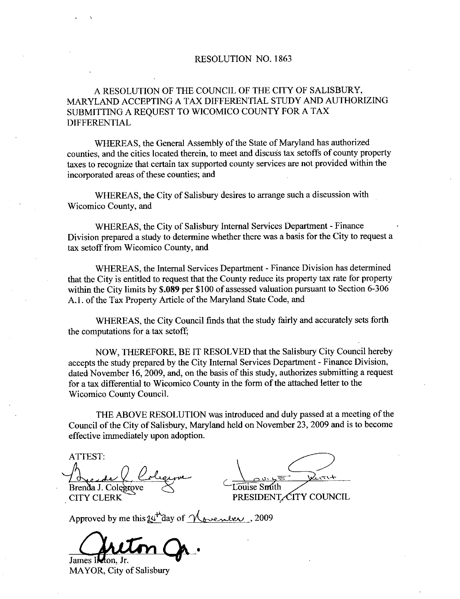#### RESOLUTION NO. 1863

#### A RESOLUTION OF THE COUNCIL OF THE CITY OF SALISBURY MARYLAND ACCEPTING A TAX DIFFERENTIAL STUDY AND AUTHORIZING SUBMITTING A REQUEST TO WICOMICO COUNTY FOR A TAX DIFFERENTIAL

WHEREAS, the General Assembly of the State of Maryland has authorized counties, and the cities located therein, to meet and discuss tax setoffs of county property taxes to recognize that certain tax supported county services aze not provided within the incorporated areas of these counties; and

WHEREAS, the City of Salisbury desires to arrange such a discussion with Wicomico County, and

WHEREAS, the City of Salisbury Internal Services Department - Finance Division prepared a study to determine whether there was abasis for the City to request a tax setoff from Wicomico County, and

WHEREAS, the Internal Services Department - Finance Division has determined that the City is entitled to request that the County reduce its property tax rate for property WHEREAS, the Internal Services Department - Finance Division has determined<br>that the City is entitled to request that the County reduce its property tax rate for property<br>within the City limits by \$.089 per \$100 of assesse that the City is entitled to request that the County reduce its propertion the City limits by \$.089 per \$100 of assessed valuation pu A.1. of the Tax Property Article of the Maryland State Code, and

WHEREAS, the City Council finds that the study fairly and accurately sets forth the computations for a tax setoff;

NOW. THEREFORE, BE IT RESOLVED that the Salisbury City Council hereby accepts the study prepared by the City Internal Services Department - Finance Division, dated November 16, 2009, and, on the basis of this study, authorizes submitting a request for atax differential to Wicomico County in the form of the attached letter to the Wicomico County Council

THE ABOVE RESOLUTION was introduced and duly passed at a meeting of the Council of the City of Salisbury, Maryland held on November 23, 2009 and is to become effective immediately upon adoption

ATTEST

Brenda J. Colegrove

CITY CLERK

Touise Smith

PRESIDENT CITY COUNCIL

Approved by me this  $\mu^{\mu}$  day of <u>November</u>, 2009

James I**let**on, Jr.

MAYOR, City of Salisbury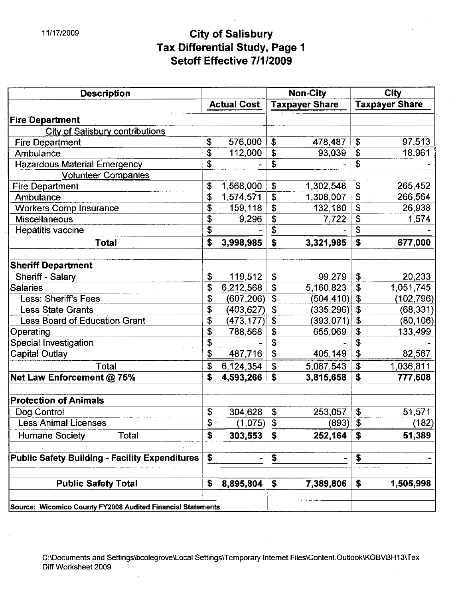## 11/17/2009 **City of Salisbury** Tax Differential Study, Page City of Salisbury<br>x Differential Study, Page<br>Setoff Effective 7/1/2009

| <b>Description</b>                                          |    |                    |               | <b>Non-City</b>       | City                                 |                       |  |  |
|-------------------------------------------------------------|----|--------------------|---------------|-----------------------|--------------------------------------|-----------------------|--|--|
|                                                             |    | <b>Actual Cost</b> |               | <b>Taxpayer Share</b> |                                      | <b>Taxpayer Share</b> |  |  |
| <b>Fire Department</b>                                      |    |                    |               |                       |                                      |                       |  |  |
| <b>City of Salisbury contributions</b>                      |    |                    |               |                       |                                      |                       |  |  |
| <b>Fire Department</b>                                      | \$ | 576,000            | \$            | 478,487               | \$                                   | 97,513                |  |  |
| Ambulance                                                   | \$ | 112,000            | \$            | 93,039                | \$                                   | 18,961                |  |  |
| <b>Hazardous Material Emergency</b>                         | \$ |                    | \$            |                       | $\overline{\mathbf{r}}$              |                       |  |  |
| <b>Volunteer Companies</b>                                  |    |                    |               |                       |                                      |                       |  |  |
| <b>Fire Department</b>                                      | \$ | 1,568,000          | \$            | 1,302,548             | \$                                   | 265,452               |  |  |
| Ambulance                                                   | \$ | 1,574,571          | \$            | 1,308,007             | \$                                   | 266,564               |  |  |
| <b>Workers Comp Insurance</b>                               | \$ | 159,118            | \$            | 132,180               | \$                                   | 26,938                |  |  |
| <b>Miscellaneous</b>                                        | \$ | 9,296              | \$            | 7,722                 | \$                                   | 1,574                 |  |  |
| Hepatitis vaccine                                           | \$ |                    | \$            |                       | \$                                   |                       |  |  |
| <b>Total</b>                                                | \$ | 3,998,985          | \$            | 3,321,985             | \$                                   | 677,000               |  |  |
|                                                             |    |                    |               |                       |                                      |                       |  |  |
| <b>Sheriff Department</b>                                   |    |                    |               |                       |                                      |                       |  |  |
| Sheriff - Salary                                            | \$ | 119,512            | \$            | 99,279                | $\boldsymbol{\mathsf{S}}$            | 20,233                |  |  |
| <b>Salaries</b>                                             | \$ | 6,212,568          | \$            | 5,160,823             | \$                                   | 1,051,745             |  |  |
| <b>Less: Sheriff's Fees</b>                                 | \$ | (607, 206)         | \$            | (504,410)             | \$                                   | (102, 796)            |  |  |
| <b>Less State Grants</b>                                    | \$ | (403, 627)         | \$            | (335,296)             | \$                                   | (68, 331)             |  |  |
| Less Board of Education Grant                               | \$ | (473, 177)         | \$            | (393, 071)            | \$                                   | (80, 106)             |  |  |
| Operating                                                   | \$ | 788,568            | \$            | 655,069               | $\mathbf{\$}$                        | 133,499               |  |  |
| Special Investigation                                       | \$ |                    | \$            |                       | \$                                   |                       |  |  |
| <b>Capital Outlay</b>                                       | \$ | 487,716            | \$            | 405,149               | $\overline{\boldsymbol{\mathsf{S}}}$ | 82,567                |  |  |
| Total                                                       | \$ | 6,124,354          | \$            | 5,087,543             | $\mathbf{\hat{S}}$                   | 1,036,811             |  |  |
| Net Law Enforcement @ 75%                                   | \$ | 4,593,266          | \$            | 3,815,658             | \$                                   | 777,608               |  |  |
|                                                             |    |                    |               |                       |                                      |                       |  |  |
| <b>Protection of Animals</b>                                |    |                    |               |                       |                                      |                       |  |  |
| Dog Control                                                 | \$ | 304,628            | \$            | 253,057               | $\boldsymbol{\mathfrak{s}}$          | 51,571                |  |  |
| <b>Less Animal Licenses</b>                                 | Ф  | (1,075)            | $\frac{1}{2}$ | (893)                 | $\overline{\mathcal{L}}$             | (182)                 |  |  |
| <b>Humane Society</b><br>Total                              | \$ | 303,553            | \$            | 252,164               | \$                                   | 51,389                |  |  |
|                                                             |    |                    |               |                       |                                      |                       |  |  |
| <b>Public Safety Building - Facility Expenditures</b>       | \$ |                    | \$            |                       | \$                                   |                       |  |  |
|                                                             |    |                    |               |                       |                                      |                       |  |  |
| <b>Public Safety Total</b>                                  | \$ | 8,895,804          | \$            | 7,389,806             | \$                                   | 1,505,998             |  |  |
| Source: Wicomico County FY2008 Audited Financial Statements |    |                    |               |                       |                                      |                       |  |  |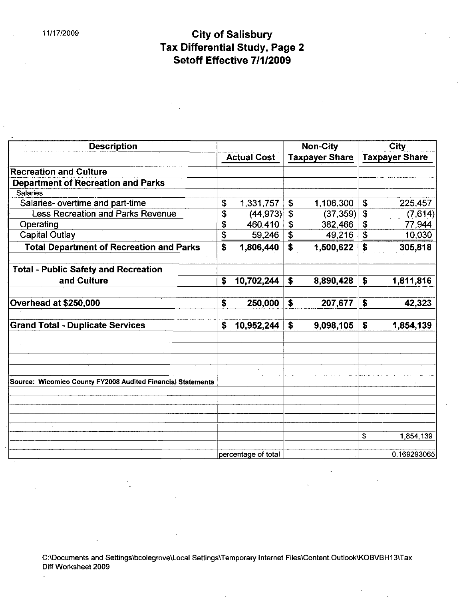### 11/17/2009 **City of Salisbury** Tax Differential Study, Page 2 Setoff Effective 7/1/2009

| <b>Description</b>                                          |    |                     |              | <b>Non-City</b>       |                           | City        |  |  |
|-------------------------------------------------------------|----|---------------------|--------------|-----------------------|---------------------------|-------------|--|--|
|                                                             |    | <b>Actual Cost</b>  |              | <b>Taxpayer Share</b> | <b>Taxpayer Share</b>     |             |  |  |
| <b>Recreation and Culture</b>                               |    |                     |              |                       |                           |             |  |  |
| <b>Department of Recreation and Parks</b>                   |    |                     |              |                       |                           |             |  |  |
| Salaries                                                    |    |                     |              |                       |                           |             |  |  |
| Salaries- overtime and part-time                            | \$ | 1,331,757           | \$           | 1,106,300             | \$                        | 225,457     |  |  |
| <b>Less Recreation and Parks Revenue</b>                    | \$ | (44, 973)           | \$           | (37, 359)             | $\boldsymbol{\mathsf{s}}$ | (7,614)     |  |  |
| Operating                                                   | \$ | 460,410             | $\mathbf{s}$ | 382,466               | $\mathbf S$               | 77,944      |  |  |
| <b>Capital Outlay</b>                                       | \$ | 59,246              | \$           | 49,216                | \$                        | 10,030      |  |  |
| <b>Total Department of Recreation and Parks</b>             | \$ | 1,806,440           | \$           | 1,500,622             |                           | 305,818     |  |  |
| <b>Total - Public Safety and Recreation</b>                 |    |                     |              |                       |                           |             |  |  |
| and Culture                                                 | S  | 10,702,244          | \$           | 8,890,428             | \$                        | 1,811,816   |  |  |
| Overhead at \$250,000                                       | \$ | 250,000             | \$           | 207,677               | \$                        | 42,323      |  |  |
| <b>Grand Total - Duplicate Services</b>                     | \$ | 10,952,244          | \$           | 9,098,105             | \$                        | 1,854,139   |  |  |
|                                                             |    |                     |              |                       |                           |             |  |  |
|                                                             |    |                     |              |                       |                           |             |  |  |
| Source: Wicomico County FY2008 Audited Financial Statements |    |                     |              |                       |                           |             |  |  |
|                                                             |    |                     |              |                       |                           |             |  |  |
|                                                             |    |                     |              |                       |                           |             |  |  |
|                                                             |    |                     |              |                       | \$                        | 1,854,139   |  |  |
|                                                             |    | percentage of total |              |                       |                           | 0.169293065 |  |  |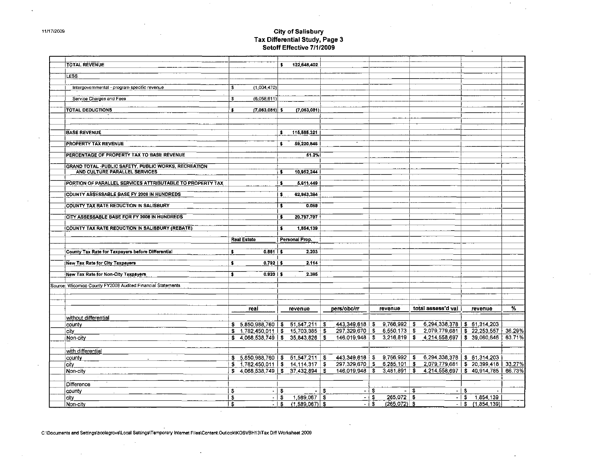## City of Salisbury<br>Tax Differential Study, Page 3<br>Setoff Effective 7/1/2009

| <b>TOTAL REVENUE</b>                                        |    |                                          | \$.          | 122,648.402    |        |                                                                            |     |              |      |                                                                          |       |                 |        |
|-------------------------------------------------------------|----|------------------------------------------|--------------|----------------|--------|----------------------------------------------------------------------------|-----|--------------|------|--------------------------------------------------------------------------|-------|-----------------|--------|
|                                                             |    |                                          |              |                |        |                                                                            |     |              |      |                                                                          |       |                 |        |
| LESS:                                                       |    |                                          |              |                |        |                                                                            |     |              |      |                                                                          |       |                 |        |
| Intergovernmental - program specific revenue                | \$ | (1,004,470)                              |              |                |        |                                                                            |     |              |      |                                                                          |       |                 |        |
|                                                             |    |                                          |              |                |        |                                                                            |     |              |      |                                                                          |       |                 |        |
| Service Charges and Fees                                    | \$ | (6,058,611)                              |              |                |        |                                                                            |     |              |      |                                                                          |       |                 |        |
|                                                             |    |                                          |              |                |        |                                                                            |     |              |      |                                                                          |       |                 |        |
| <b>TOTAL DEDUCTIONS</b>                                     | \$ | $(7,063,081)$ \$                         |              | (7,063,081)    |        |                                                                            |     |              |      |                                                                          |       |                 |        |
|                                                             |    |                                          |              |                |        |                                                                            |     |              |      |                                                                          |       |                 |        |
|                                                             |    |                                          |              |                |        |                                                                            |     |              |      |                                                                          |       |                 |        |
| <b>BASE REVENUE</b>                                         |    |                                          | \$.          | 115,585.321    |        |                                                                            |     |              |      |                                                                          |       |                 |        |
|                                                             |    |                                          |              |                |        |                                                                            |     |              |      |                                                                          |       |                 |        |
| <b>PROPERTY TAX REVENUE</b>                                 |    |                                          | -51          | 59,220,846     |        |                                                                            |     |              |      |                                                                          |       |                 |        |
|                                                             |    |                                          |              |                |        |                                                                            |     |              |      |                                                                          |       |                 |        |
| PERCENTAGE OF PROPERTY TAX TO BASE REVENUE                  |    |                                          |              | 51.2%          |        |                                                                            |     |              |      |                                                                          |       |                 |        |
| GRAND TOTAL -PUBLIC SAFETY, PUBLIC WORKS, RECREATION        |    |                                          |              |                |        |                                                                            |     |              |      |                                                                          |       |                 |        |
| AND CULTURE PARALLEL SERVICES                               |    |                                          | $\bullet$    | 10,952,244     |        |                                                                            |     |              |      |                                                                          |       |                 |        |
|                                                             |    |                                          |              |                |        |                                                                            |     |              |      |                                                                          |       |                 |        |
| PORTION OF PARALLEL SERVICES ATTRIBUTABLE TO PROPERTY TAX   |    |                                          | \$           | 5,611.449      |        |                                                                            |     |              |      |                                                                          |       |                 |        |
| <b>COUNTY ASSESSABLE BASE FY 2008 IN HUNDREDS</b>           |    |                                          | \$           | 62,943.384     |        |                                                                            |     |              |      |                                                                          |       |                 |        |
|                                                             |    |                                          |              |                |        |                                                                            |     |              |      |                                                                          |       |                 |        |
| COUNTY TAX RATE REDUCTION IN SALISBURY                      |    |                                          | $\mathbf{s}$ | 0.089          |        |                                                                            |     |              |      |                                                                          |       |                 |        |
|                                                             |    |                                          |              |                |        |                                                                            |     |              |      |                                                                          |       |                 |        |
| CITY ASSESSABLE BASE FOR FY 2008 IN HUNDREDS                |    |                                          | \$           | 20,797,797     |        |                                                                            |     |              |      |                                                                          |       |                 |        |
| COUNTY TAX RATE REDUCTION IN SALISBURY (REBATE)             |    |                                          | s            | 1,854,139      |        |                                                                            |     |              |      |                                                                          |       |                 |        |
|                                                             |    |                                          |              |                |        |                                                                            |     |              |      |                                                                          |       |                 |        |
|                                                             |    | <b>Real Estate</b>                       |              | Personal Prop. |        |                                                                            |     |              |      |                                                                          |       |                 |        |
|                                                             |    |                                          |              |                |        |                                                                            |     |              |      |                                                                          |       |                 |        |
| County Tax Rate for Taxpayers before Differential           | \$ | $0.881$   \$                             |              | 2.203          |        |                                                                            |     |              |      |                                                                          |       |                 |        |
| <b>New Tax Rate for City Taxpayers</b>                      | s  | $0.792$   \$                             |              | 2.114          |        |                                                                            |     |              |      |                                                                          |       |                 |        |
|                                                             |    |                                          |              |                |        |                                                                            |     |              |      |                                                                          |       |                 |        |
| New Tax Rate for Non-City Taxpayers                         | \$ | $0.920$   \$                             |              | 2.385          |        |                                                                            |     |              |      |                                                                          |       |                 |        |
|                                                             |    |                                          |              |                |        |                                                                            |     |              |      |                                                                          |       |                 |        |
| Source: Wicomico County FY2008 Audited Financial Statements |    |                                          |              |                |        |                                                                            |     |              |      |                                                                          |       |                 |        |
|                                                             |    |                                          |              |                |        |                                                                            |     |              |      |                                                                          |       |                 |        |
|                                                             |    |                                          |              |                |        |                                                                            |     |              |      |                                                                          |       |                 |        |
|                                                             |    | real                                     |              | revenue        |        | pers/obc/rr                                                                |     | revenue      |      | total assess d val                                                       |       | revenue         | ℅      |
| without differential                                        |    |                                          |              |                |        |                                                                            |     |              |      |                                                                          |       |                 |        |
| county                                                      |    | $$5,850,988,760$ $$51,547,211$ \$        |              |                |        |                                                                            |     |              |      | $443,349,618$   \$ $9,766,992$   \$ 6,294 338,378   \$ 61 314,203        |       |                 |        |
| city                                                        |    | $$1,782,450,011$ $$15,703,385$ $$$       |              |                |        | $297,329,670$   \$6,550,173   \$                                           |     |              |      | 2,079 779,681 \$ 22,253,557                                              |       |                 | 36.29% |
| Non-city                                                    |    | $$4.068,538,749 \mid $35.843,826 \mid $$ |              |                |        |                                                                            |     |              |      | $146,019,948$   \$ 3,216,819   \$ 4,214,558,697   \$ 39,060,646   63.71% |       |                 |        |
|                                                             |    |                                          |              |                |        |                                                                            |     |              |      |                                                                          |       |                 |        |
| with differential                                           |    |                                          |              |                |        |                                                                            |     |              |      |                                                                          |       |                 |        |
| county                                                      |    |                                          |              |                |        | $$5,850,988,760 \mid $51,547,211 \mid $443,349,618 \mid $9,766,992 \mid $$ |     |              |      | 6,294,338,378   \$ 61,314,203                                            |       |                 |        |
| city                                                        |    | $$1,782,450,011$ $$14,114,317$ $$$       |              |                |        | $297,329,670$   \$6,285,101   \$                                           |     |              |      | 2,079 779 681   \$20 399 418   33 27%                                    |       |                 |        |
| Non-city                                                    |    | $$4,068,538,749 \mid $37,432,894 \mid $$ |              |                |        |                                                                            |     |              |      | $146,019,948$   \$ 3,481,891   \$ 4,214,558,697   \$ 40,914,785   66.73% |       |                 |        |
|                                                             |    |                                          |              |                |        |                                                                            |     |              |      |                                                                          |       |                 |        |
|                                                             |    |                                          |              |                |        |                                                                            |     |              |      |                                                                          |       |                 |        |
| Difference                                                  |    |                                          |              |                |        |                                                                            |     |              |      |                                                                          |       |                 |        |
| county                                                      | \$ |                                          | $-1$ \$      |                | $-1$ S |                                                                            | -18 |              | -1\$ |                                                                          | $-13$ |                 |        |
| city                                                        | \$ |                                          | $-1$ \$      | 1 589,067 \$   |        | $\sim$ 1                                                                   | S.  | $265.072$ \$ |      |                                                                          |       | $-15$ 1.854,139 |        |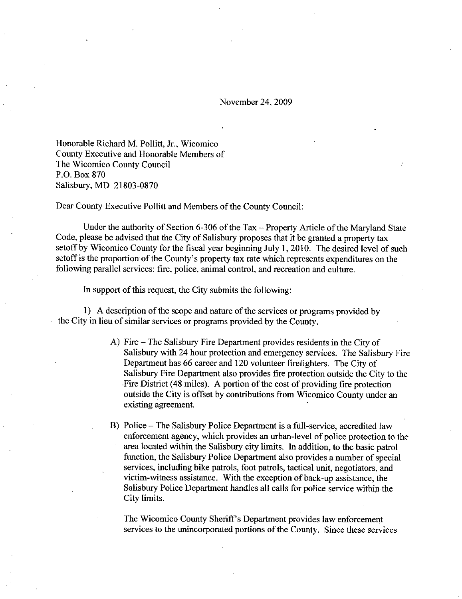November 24, 2009

Honorable Richard M. Pollitt, Jr., Wicomico County Executive and Honorable Members of The Wicomico County Council<br>P.O. Box 870 Honorable Richard M. Pollitt<br>County Executive and Honor<br>The Wicomico County County<br>P.O. Box 870<br>Salisbury, MD 21803-0870<br>Dear County Executive Pollit

Dear County Executive Pollitt and Members of the County Council:

Under the authority of Section 6-306 of the Tax  $-$  Property Article of the Maryland State Code, please be advised that the City of Salisbury proposes that it be granted a property tax setoff by Wicomico County for the fiscal year beginning July 1, 2010. The desired level of such Under the authority of Section 6-306 of the Tax – Property Article of the Maryland St.<br>Code, please be advised that the City of Salisbury proposes that it be granted a property tax<br>setoff by Wicomico County for the fiscal following parallel services: fire, police, animal control, and recreation and culture.

In support of this request, the City submits the following:

1 A description of the scope and nature of the services or programs provided by the City in lieu of similar services or programs provided by the County.

- A) Fire  $-$  The Salisbury Fire Department provides residents in the City of Salisbury with 24 hour protection and emergency services. The Salisbury Fire Department has 66 career and 120 volunteer firefighters. The City of Salisbury Fire Department also provides fire protection outside the City to the Fire District (48 miles). A portion of the cost of providing fire protection outside the City is offset by contributions from Wicomico County under an existing agreement
- B) Police The Salisbury Police Department is a full-service, accredited law<br>enforcement accreation which provides an urban laval of police protection to Police – The Salisbury Police Department is a full-service, accredited law<br>enforcement agency, which provides an urban-level of police protection to the area located within the Salisbury city limits. In addition, to the basic patrol function, the Salisbury Police Department also provides a number of special services, including bike patrols, foot patrols, tactical unit, negotiators, and<br>victim-witness assistance. With the exception of back-up assistance, the<br>Salisbury Police Department bardles all calls for police service with Salisbury Police Department handles all calls for police service within the City limits

The Wicomico County Sheriff's Department provides law enforcement services to the unincorporated portions of the County. Since these services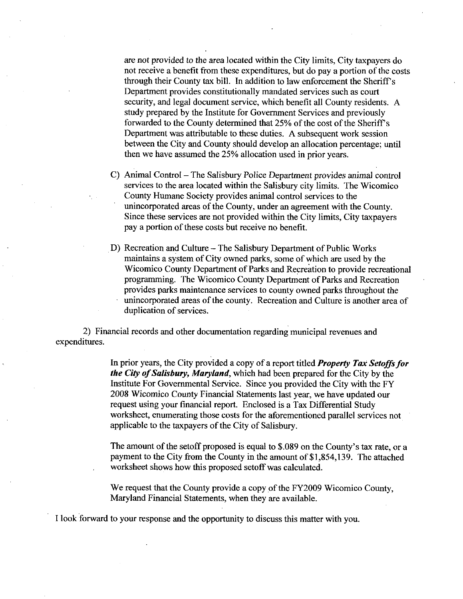are not provided to the area located within the City limits, City taxpayers do not receive a benefit from these expenditures, but do pay a portion of the costs through their County tax bill. In addition to law enforcement the Sheriff's Department provides constitutionally mandated services such as court security, and legal document service, which benefit all County residents. A study prepared by the Institute for Government Services and previously forwarded to the County determined that 25% of the cost of the Sheriff's Department was attributable to these duties. A subsequent work session between the City and County should develop an allocation percentage; until then we have assumed the 25% allocation used in prior years.

- C) Animal Control The Salisbury Police Department provides animal control services to the area located within the Salisbury city limits. The Wicomico County Humane Society provides animal control services to the unincorporated areas of the County, under an agreement with the County. Since these services are not provided within the City limits, City taxpayers pay a portion of these costs but receive no benefit.
- D) Recreation and Culture The Salisbury Department of Public Works maintains a system of City owned parks, some of which are used by the Wicomico County Department of Parks and Recreation to provide recreational programming. The Wicomico County Department of Parks and Recreation provides parks maintenance services to county owned parks throughout the unincorporated areas of the county. Recreation and Culture is another area of duplication of services.

2 Financial records and other documentation regarding municipal revenues and expenditwes

> In prior years, the City provided a copy of a report titled Property Tax Setoffs for the City of Salisbury, Maryland, which had been prepared for the City by the Institute For Governmental Service. Since you provided the City with the FY 2008 Wicomico County Financial Statements last year, we have updated our request using your financial report. Enclosed is a Tax Differential Study worksheet, enumerating those costs for the aforementioned parallel services not applicable to the taxpayers of the City of Salisbury. request using your financial report. Enclosed is a Tax Differential Study worksheet, enumerating those costs for the aforementioned parallel services not applicable to the taxpayers of the City of Salisbury.<br>The amount of

> worksheet shows how this proposed setoff was calculated.

We request that the County provide a copy of the FY2009 Wicomico County, Maryland Financial Statements, when they are available.

Ilook forwazd to yow response and the opportunity to discuss this matter with you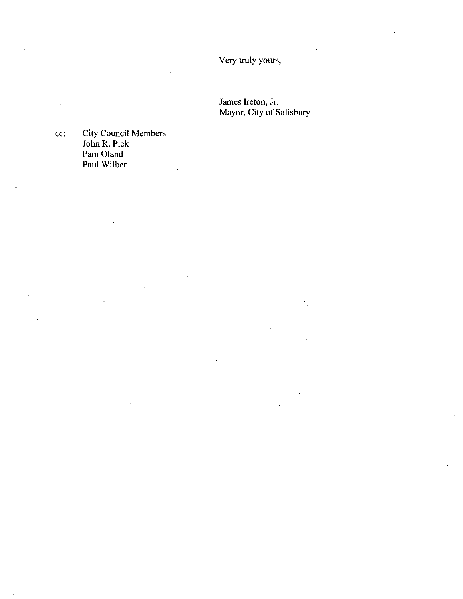Very truly yours

James Ireton, Jr. Mayor, City of Salisbury

cc: City Council Members John R. Pick Pam Oland Paul Wilber